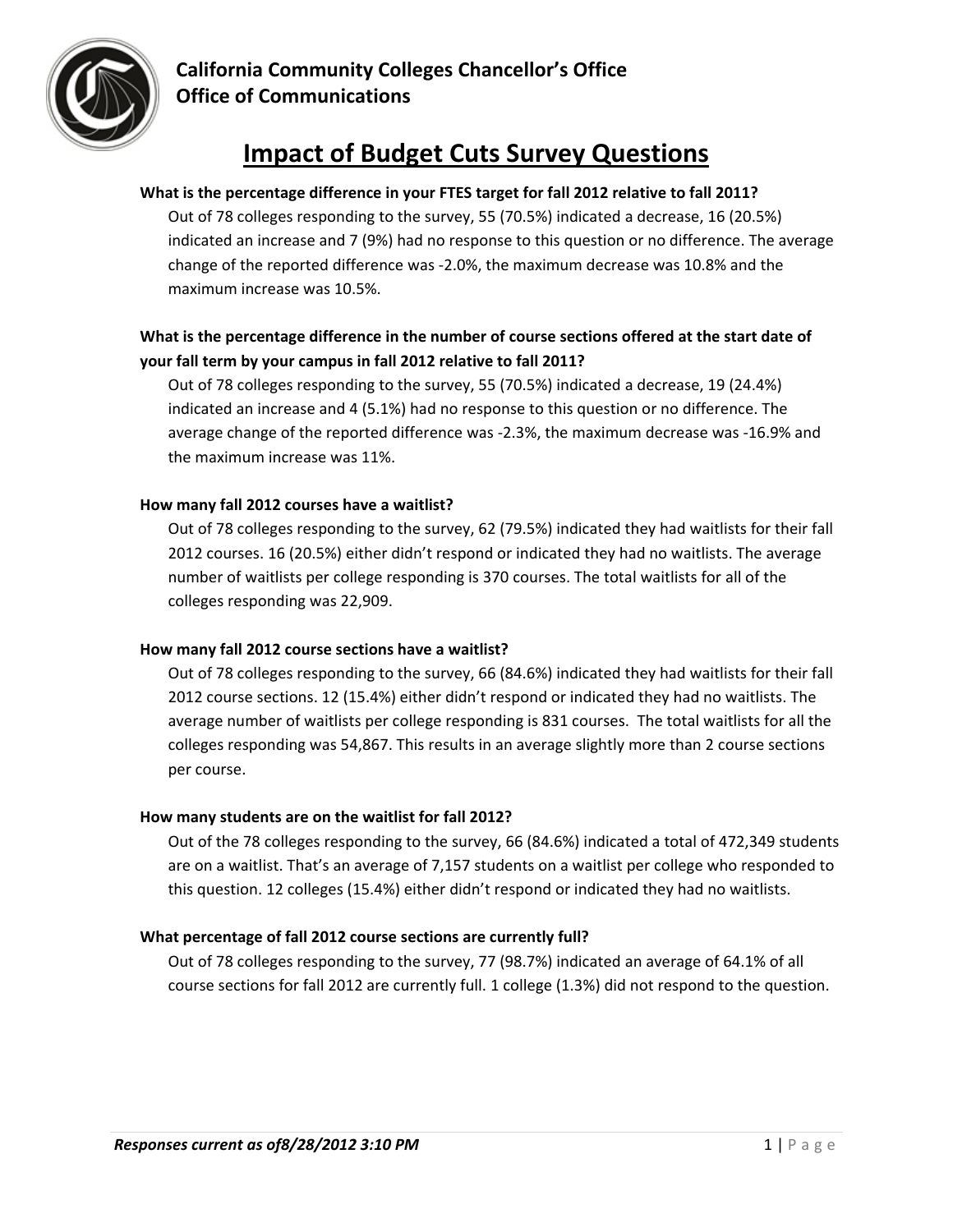

# **Impact of Budget Cuts Survey Questions**

#### **What is the percentage difference in your FTES target for fall 2012 relative to fall 2011?**

Out of 78 colleges responding to the survey, 55 (70.5%) indicated a decrease, 16 (20.5%) indicated an increase and 7 (9%) had no response to this question or no difference. The average change of the reported difference was ‐2.0%, the maximum decrease was 10.8% and the maximum increase was 10.5%.

## **What is the percentage difference in the number of course sections offered at the start date of your fall term by your campus in fall 2012 relative to fall 2011?**

Out of 78 colleges responding to the survey, 55 (70.5%) indicated a decrease, 19 (24.4%) indicated an increase and 4 (5.1%) had no response to this question or no difference. The average change of the reported difference was ‐2.3%, the maximum decrease was ‐16.9% and the maximum increase was 11%.

#### **How many fall 2012 courses have a waitlist?**

Out of 78 colleges responding to the survey, 62 (79.5%) indicated they had waitlists for their fall 2012 courses. 16 (20.5%) either didn't respond or indicated they had no waitlists. The average number of waitlists per college responding is 370 courses. The total waitlists for all of the colleges responding was 22,909.

#### **How many fall 2012 course sections have a waitlist?**

Out of 78 colleges responding to the survey, 66 (84.6%) indicated they had waitlists for their fall 2012 course sections. 12 (15.4%) either didn't respond or indicated they had no waitlists. The average number of waitlists per college responding is 831 courses. The total waitlists for all the colleges responding was 54,867. This results in an average slightly more than 2 course sections per course.

#### **How many students are on the waitlist for fall 2012?**

Out of the 78 colleges responding to the survey, 66 (84.6%) indicated a total of 472,349 students are on a waitlist. That's an average of 7,157 students on a waitlist per college who responded to this question. 12 colleges (15.4%) either didn't respond or indicated they had no waitlists.

## **What percentage of fall 2012 course sections are currently full?**

Out of 78 colleges responding to the survey, 77 (98.7%) indicated an average of 64.1% of all course sections for fall 2012 are currently full. 1 college (1.3%) did not respond to the question.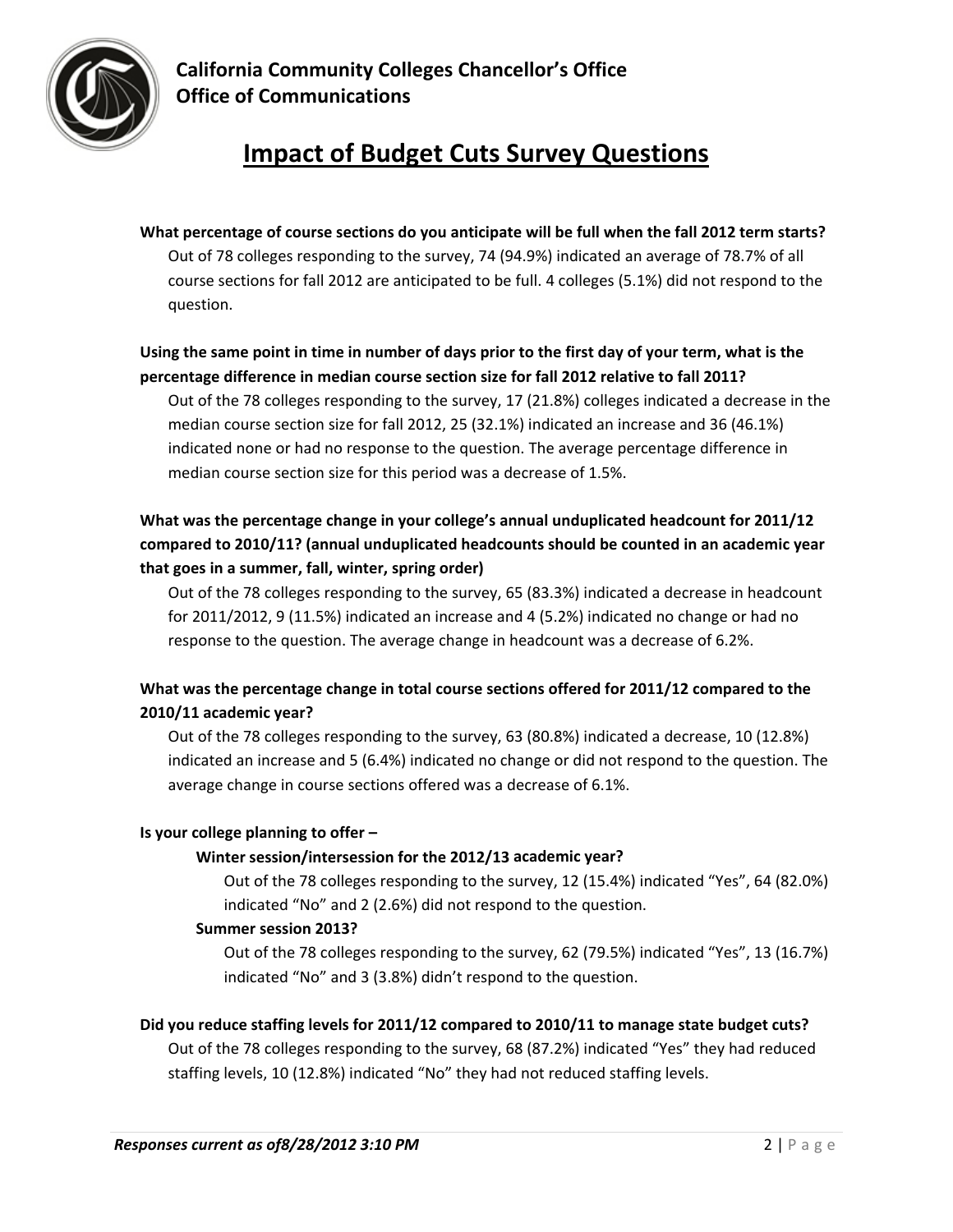

# **Impact of Budget Cuts Survey Questions**

# **What percentage of course sections do you anticipate will be full when the fall 2012 term starts?** Out of 78 colleges responding to the survey, 74 (94.9%) indicated an average of 78.7% of all course sections for fall 2012 are anticipated to be full. 4 colleges (5.1%) did not respond to the question.

## Using the same point in time in number of days prior to the first day of your term, what is the **percentage difference in median course section size for fall 2012 relative to fall 2011?**

Out of the 78 colleges responding to the survey, 17 (21.8%) colleges indicated a decrease in the median course section size for fall 2012, 25 (32.1%) indicated an increase and 36 (46.1%) indicated none or had no response to the question. The average percentage difference in median course section size for this period was a decrease of 1.5%.

# **What was the percentage change in your college's annual unduplicated headcount for 2011/12 compared to 2010/11? (annual unduplicated headcounts should be counted in an academic year that goes in a summer, fall, winter, spring order)**

Out of the 78 colleges responding to the survey, 65 (83.3%) indicated a decrease in headcount for 2011/2012, 9 (11.5%) indicated an increase and 4 (5.2%) indicated no change or had no response to the question. The average change in headcount was a decrease of 6.2%.

# **What was the percentage change in total course sections offered for 2011/12 compared to the 2010/11 academic year?**

Out of the 78 colleges responding to the survey, 63 (80.8%) indicated a decrease, 10 (12.8%) indicated an increase and 5 (6.4%) indicated no change or did not respond to the question. The average change in course sections offered was a decrease of 6.1%.

## **Is your college planning to offer –**

## **Winter session/intersession for the 2012/13 academic year?**

Out of the 78 colleges responding to the survey, 12 (15.4%) indicated "Yes", 64 (82.0%) indicated "No" and 2 (2.6%) did not respond to the question.

## **Summer session 2013?**

Out of the 78 colleges responding to the survey, 62 (79.5%) indicated "Yes", 13 (16.7%) indicated "No" and 3 (3.8%) didn't respond to the question.

## **Did you reduce staffing levels for 2011/12 compared to 2010/11 to manage state budget cuts?**

Out of the 78 colleges responding to the survey, 68 (87.2%) indicated "Yes" they had reduced staffing levels, 10 (12.8%) indicated "No" they had not reduced staffing levels.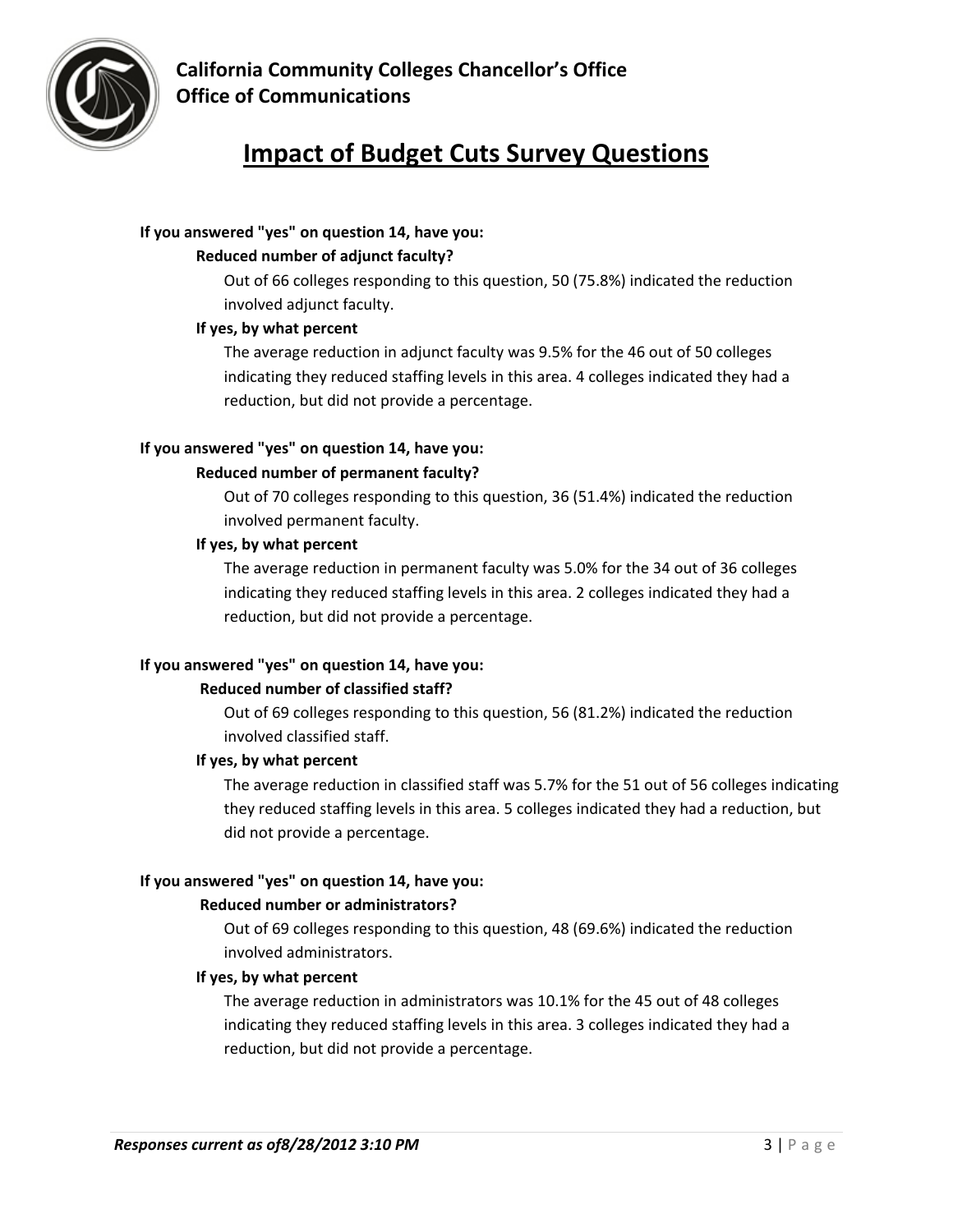# **Impact of Budget Cuts Survey Questions**

## **If you answered "yes" on question 14, have you:**

## **Reduced number of adjunct faculty?**

Out of 66 colleges responding to this question, 50 (75.8%) indicated the reduction involved adjunct faculty.

## **If yes, by what percent**

The average reduction in adjunct faculty was 9.5% for the 46 out of 50 colleges indicating they reduced staffing levels in this area. 4 colleges indicated they had a reduction, but did not provide a percentage.

## **If you answered "yes" on question 14, have you:**

## **Reduced number of permanent faculty?**

Out of 70 colleges responding to this question, 36 (51.4%) indicated the reduction involved permanent faculty.

## **If yes, by what percent**

The average reduction in permanent faculty was 5.0% for the 34 out of 36 colleges indicating they reduced staffing levels in this area. 2 colleges indicated they had a reduction, but did not provide a percentage.

## **If you answered "yes" on question 14, have you:**

## **Reduced number of classified staff?**

Out of 69 colleges responding to this question, 56 (81.2%) indicated the reduction involved classified staff.

## **If yes, by what percent**

The average reduction in classified staff was 5.7% for the 51 out of 56 colleges indicating they reduced staffing levels in this area. 5 colleges indicated they had a reduction, but did not provide a percentage.

## **If you answered "yes" on question 14, have you:**

## **Reduced number or administrators?**

Out of 69 colleges responding to this question, 48 (69.6%) indicated the reduction involved administrators.

## **If yes, by what percent**

The average reduction in administrators was 10.1% for the 45 out of 48 colleges indicating they reduced staffing levels in this area. 3 colleges indicated they had a reduction, but did not provide a percentage.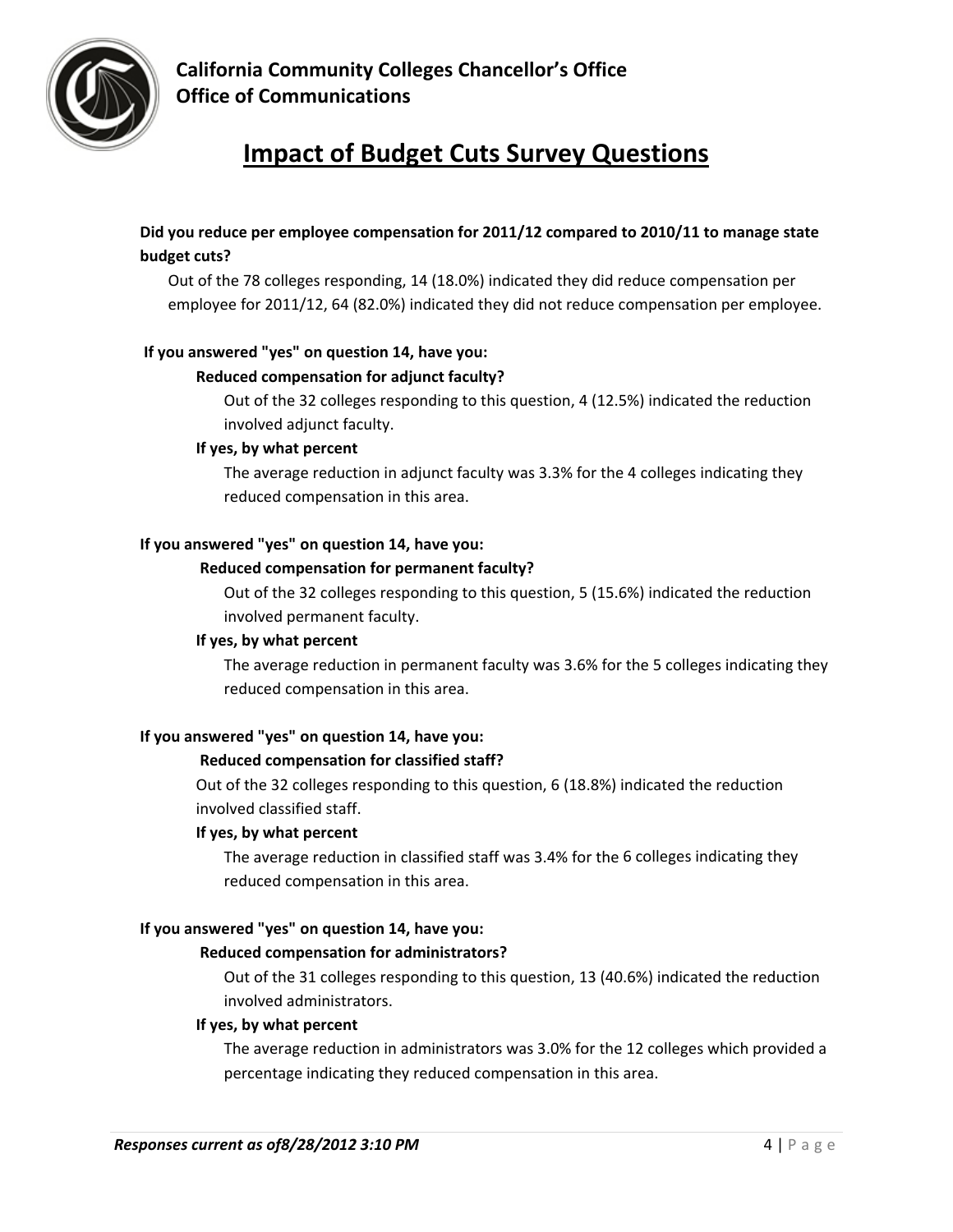

# **Impact of Budget Cuts Survey Questions**

## **Did you reduce per employee compensation for 2011/12 compared to 2010/11 to manage state budget cuts?**

Out of the 78 colleges responding, 14 (18.0%) indicated they did reduce compensation per employee for 2011/12, 64 (82.0%) indicated they did not reduce compensation per employee.

#### **If you answered "yes" on question 14, have you:**

#### **Reduced compensation for adjunct faculty?**

Out of the 32 colleges responding to this question, 4 (12.5%) indicated the reduction involved adjunct faculty.

#### **If yes, by what percent**

The average reduction in adjunct faculty was 3.3% for the 4 colleges indicating they reduced compensation in this area.

#### **If you answered "yes" on question 14, have you:**

#### **Reduced compensation for permanent faculty?**

Out of the 32 colleges responding to this question, 5 (15.6%) indicated the reduction involved permanent faculty.

#### **If yes, by what percent**

The average reduction in permanent faculty was 3.6% for the 5 colleges indicating they reduced compensation in this area.

## **If you answered "yes" on question 14, have you:**

#### **Reduced compensation for classified staff?**

Out of the 32 colleges responding to this question, 6 (18.8%) indicated the reduction involved classified staff.

#### **If yes, by what percent**

The average reduction in classified staff was 3.4% for the 6 colleges indicating they reduced compensation in this area.

#### **If you answered "yes" on question 14, have you:**

#### **Reduced compensation for administrators?**

Out of the 31 colleges responding to this question, 13 (40.6%) indicated the reduction involved administrators.

#### **If yes, by what percent**

The average reduction in administrators was 3.0% for the 12 colleges which provided a percentage indicating they reduced compensation in this area.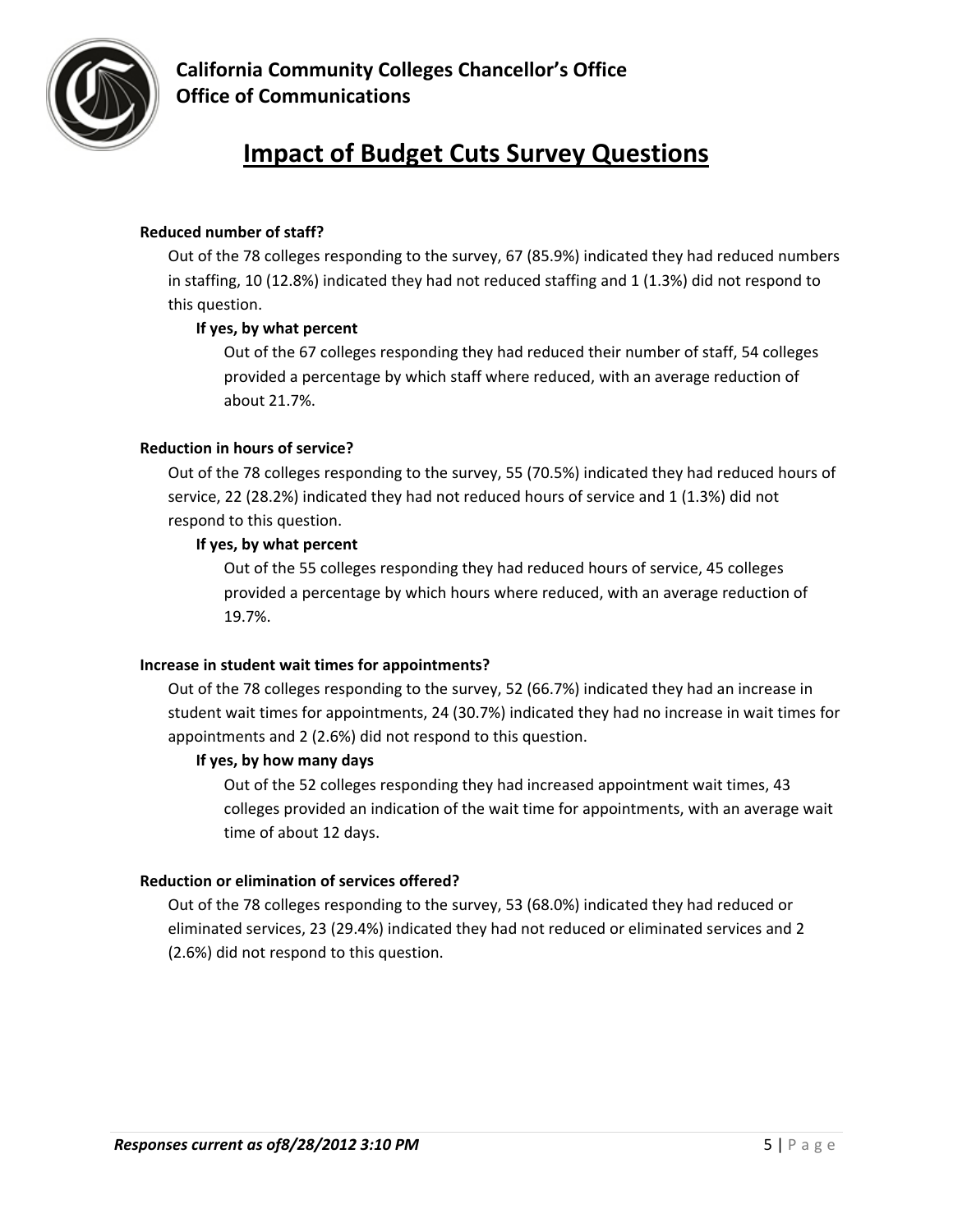

# **Impact of Budget Cuts Survey Questions**

#### **Reduced number of staff?**

Out of the 78 colleges responding to the survey, 67 (85.9%) indicated they had reduced numbers in staffing, 10 (12.8%) indicated they had not reduced staffing and 1 (1.3%) did not respond to this question.

#### **If yes, by what percent**

Out of the 67 colleges responding they had reduced their number of staff, 54 colleges provided a percentage by which staff where reduced, with an average reduction of about 21.7%.

#### **Reduction in hours of service?**

Out of the 78 colleges responding to the survey, 55 (70.5%) indicated they had reduced hours of service, 22 (28.2%) indicated they had not reduced hours of service and 1 (1.3%) did not respond to this question.

#### **If yes, by what percent**

Out of the 55 colleges responding they had reduced hours of service, 45 colleges provided a percentage by which hours where reduced, with an average reduction of 19.7%.

#### **Increase in student wait times for appointments?**

Out of the 78 colleges responding to the survey, 52 (66.7%) indicated they had an increase in student wait times for appointments, 24 (30.7%) indicated they had no increase in wait times for appointments and 2 (2.6%) did not respond to this question.

#### **If yes, by how many days**

Out of the 52 colleges responding they had increased appointment wait times, 43 colleges provided an indication of the wait time for appointments, with an average wait time of about 12 days.

#### **Reduction or elimination of services offered?**

Out of the 78 colleges responding to the survey, 53 (68.0%) indicated they had reduced or eliminated services, 23 (29.4%) indicated they had not reduced or eliminated services and 2 (2.6%) did not respond to this question.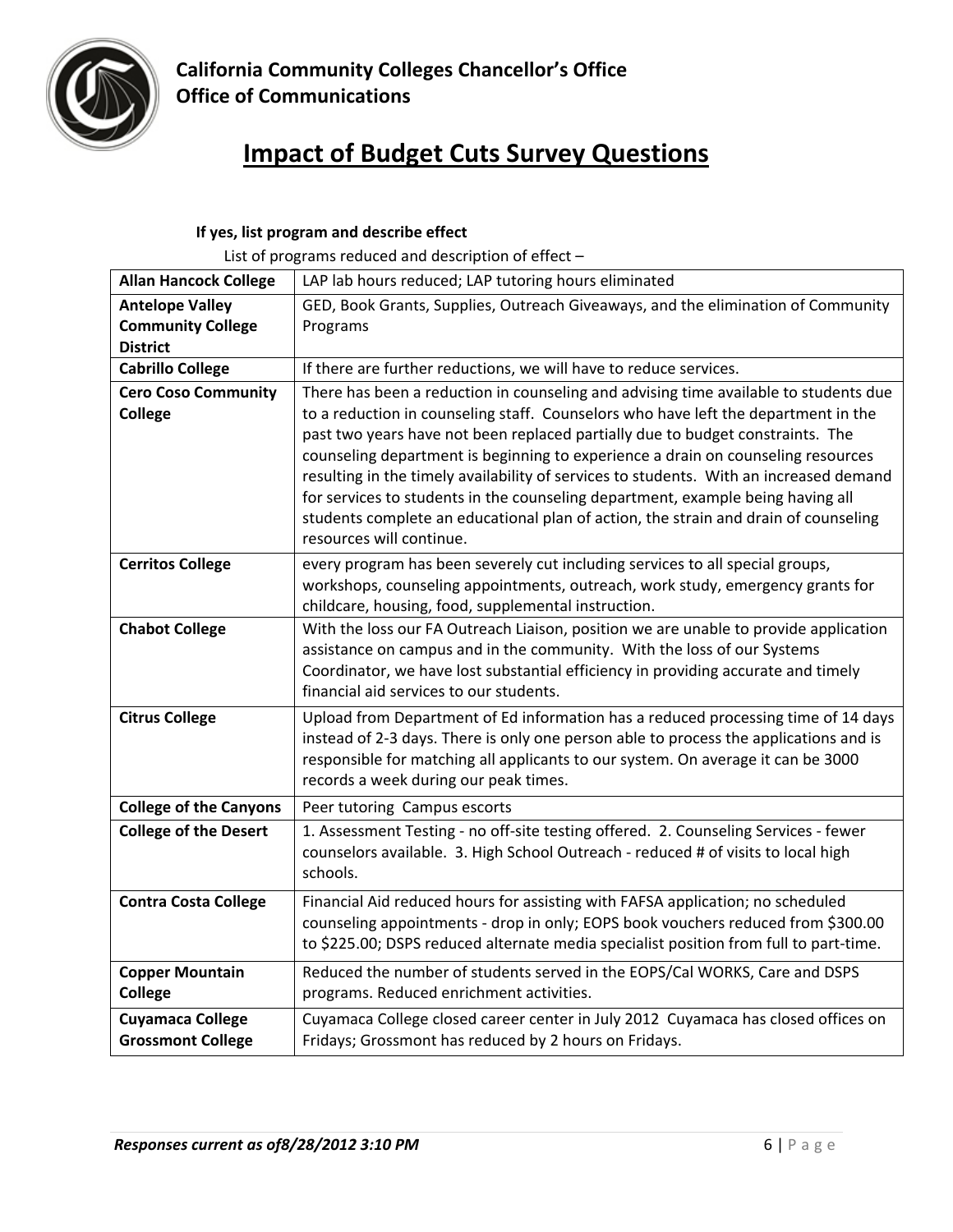

# **Impact of Budget Cuts Survey Questions**

# **If yes, list program and describe effect**

List of programs reduced and description of effect –

| <b>Allan Hancock College</b>                                          | LAP lab hours reduced; LAP tutoring hours eliminated                                                                                                                                                                                                                                                                                                                                                                                                                                                                                                                                                                                             |
|-----------------------------------------------------------------------|--------------------------------------------------------------------------------------------------------------------------------------------------------------------------------------------------------------------------------------------------------------------------------------------------------------------------------------------------------------------------------------------------------------------------------------------------------------------------------------------------------------------------------------------------------------------------------------------------------------------------------------------------|
| <b>Antelope Valley</b><br><b>Community College</b><br><b>District</b> | GED, Book Grants, Supplies, Outreach Giveaways, and the elimination of Community<br>Programs                                                                                                                                                                                                                                                                                                                                                                                                                                                                                                                                                     |
| <b>Cabrillo College</b>                                               | If there are further reductions, we will have to reduce services.                                                                                                                                                                                                                                                                                                                                                                                                                                                                                                                                                                                |
| <b>Cero Coso Community</b><br><b>College</b>                          | There has been a reduction in counseling and advising time available to students due<br>to a reduction in counseling staff. Counselors who have left the department in the<br>past two years have not been replaced partially due to budget constraints. The<br>counseling department is beginning to experience a drain on counseling resources<br>resulting in the timely availability of services to students. With an increased demand<br>for services to students in the counseling department, example being having all<br>students complete an educational plan of action, the strain and drain of counseling<br>resources will continue. |
| <b>Cerritos College</b>                                               | every program has been severely cut including services to all special groups,<br>workshops, counseling appointments, outreach, work study, emergency grants for<br>childcare, housing, food, supplemental instruction.                                                                                                                                                                                                                                                                                                                                                                                                                           |
| <b>Chabot College</b>                                                 | With the loss our FA Outreach Liaison, position we are unable to provide application<br>assistance on campus and in the community. With the loss of our Systems<br>Coordinator, we have lost substantial efficiency in providing accurate and timely<br>financial aid services to our students.                                                                                                                                                                                                                                                                                                                                                  |
| <b>Citrus College</b>                                                 | Upload from Department of Ed information has a reduced processing time of 14 days<br>instead of 2-3 days. There is only one person able to process the applications and is<br>responsible for matching all applicants to our system. On average it can be 3000<br>records a week during our peak times.                                                                                                                                                                                                                                                                                                                                          |
| <b>College of the Canyons</b>                                         | Peer tutoring Campus escorts                                                                                                                                                                                                                                                                                                                                                                                                                                                                                                                                                                                                                     |
| <b>College of the Desert</b>                                          | 1. Assessment Testing - no off-site testing offered. 2. Counseling Services - fewer<br>counselors available. 3. High School Outreach - reduced # of visits to local high<br>schools.                                                                                                                                                                                                                                                                                                                                                                                                                                                             |
| <b>Contra Costa College</b>                                           | Financial Aid reduced hours for assisting with FAFSA application; no scheduled<br>counseling appointments - drop in only; EOPS book vouchers reduced from \$300.00<br>to \$225.00; DSPS reduced alternate media specialist position from full to part-time.                                                                                                                                                                                                                                                                                                                                                                                      |
| <b>Copper Mountain</b><br><b>College</b>                              | Reduced the number of students served in the EOPS/Cal WORKS, Care and DSPS<br>programs. Reduced enrichment activities.                                                                                                                                                                                                                                                                                                                                                                                                                                                                                                                           |
| <b>Cuyamaca College</b><br><b>Grossmont College</b>                   | Cuyamaca College closed career center in July 2012 Cuyamaca has closed offices on<br>Fridays; Grossmont has reduced by 2 hours on Fridays.                                                                                                                                                                                                                                                                                                                                                                                                                                                                                                       |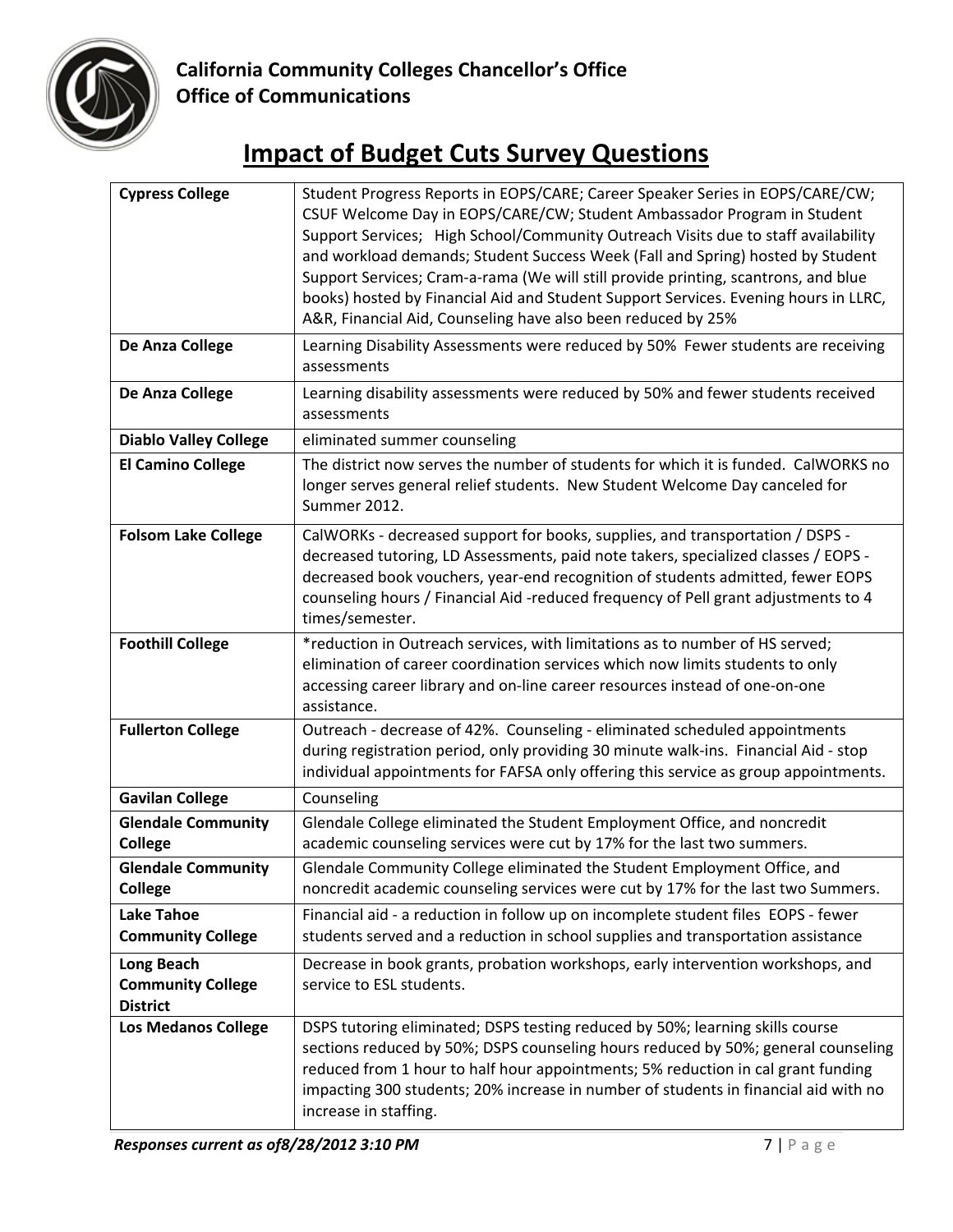

| <b>Cypress College</b>                                           | Student Progress Reports in EOPS/CARE; Career Speaker Series in EOPS/CARE/CW;<br>CSUF Welcome Day in EOPS/CARE/CW; Student Ambassador Program in Student<br>Support Services; High School/Community Outreach Visits due to staff availability<br>and workload demands; Student Success Week (Fall and Spring) hosted by Student<br>Support Services; Cram-a-rama (We will still provide printing, scantrons, and blue<br>books) hosted by Financial Aid and Student Support Services. Evening hours in LLRC,<br>A&R, Financial Aid, Counseling have also been reduced by 25% |
|------------------------------------------------------------------|------------------------------------------------------------------------------------------------------------------------------------------------------------------------------------------------------------------------------------------------------------------------------------------------------------------------------------------------------------------------------------------------------------------------------------------------------------------------------------------------------------------------------------------------------------------------------|
| De Anza College                                                  | Learning Disability Assessments were reduced by 50% Fewer students are receiving<br>assessments                                                                                                                                                                                                                                                                                                                                                                                                                                                                              |
| De Anza College                                                  | Learning disability assessments were reduced by 50% and fewer students received<br>assessments                                                                                                                                                                                                                                                                                                                                                                                                                                                                               |
| <b>Diablo Valley College</b>                                     | eliminated summer counseling                                                                                                                                                                                                                                                                                                                                                                                                                                                                                                                                                 |
| <b>El Camino College</b>                                         | The district now serves the number of students for which it is funded. CalWORKS no<br>longer serves general relief students. New Student Welcome Day canceled for<br>Summer 2012.                                                                                                                                                                                                                                                                                                                                                                                            |
| <b>Folsom Lake College</b>                                       | CalWORKs - decreased support for books, supplies, and transportation / DSPS -<br>decreased tutoring, LD Assessments, paid note takers, specialized classes / EOPS -<br>decreased book vouchers, year-end recognition of students admitted, fewer EOPS<br>counseling hours / Financial Aid -reduced frequency of Pell grant adjustments to 4<br>times/semester.                                                                                                                                                                                                               |
| <b>Foothill College</b>                                          | *reduction in Outreach services, with limitations as to number of HS served;<br>elimination of career coordination services which now limits students to only<br>accessing career library and on-line career resources instead of one-on-one<br>assistance.                                                                                                                                                                                                                                                                                                                  |
| <b>Fullerton College</b>                                         | Outreach - decrease of 42%. Counseling - eliminated scheduled appointments<br>during registration period, only providing 30 minute walk-ins. Financial Aid - stop<br>individual appointments for FAFSA only offering this service as group appointments.                                                                                                                                                                                                                                                                                                                     |
| <b>Gavilan College</b>                                           | Counseling                                                                                                                                                                                                                                                                                                                                                                                                                                                                                                                                                                   |
| <b>Glendale Community</b><br><b>College</b>                      | Glendale College eliminated the Student Employment Office, and noncredit<br>academic counseling services were cut by 17% for the last two summers.                                                                                                                                                                                                                                                                                                                                                                                                                           |
| <b>Glendale Community</b><br><b>College</b>                      | Glendale Community College eliminated the Student Employment Office, and<br>noncredit academic counseling services were cut by 17% for the last two Summers.                                                                                                                                                                                                                                                                                                                                                                                                                 |
| <b>Lake Tahoe</b><br><b>Community College</b>                    | Financial aid - a reduction in follow up on incomplete student files EOPS - fewer<br>students served and a reduction in school supplies and transportation assistance                                                                                                                                                                                                                                                                                                                                                                                                        |
| <b>Long Beach</b><br><b>Community College</b><br><b>District</b> | Decrease in book grants, probation workshops, early intervention workshops, and<br>service to ESL students.                                                                                                                                                                                                                                                                                                                                                                                                                                                                  |
| <b>Los Medanos College</b>                                       | DSPS tutoring eliminated; DSPS testing reduced by 50%; learning skills course<br>sections reduced by 50%; DSPS counseling hours reduced by 50%; general counseling<br>reduced from 1 hour to half hour appointments; 5% reduction in cal grant funding<br>impacting 300 students; 20% increase in number of students in financial aid with no<br>increase in staffing.                                                                                                                                                                                                       |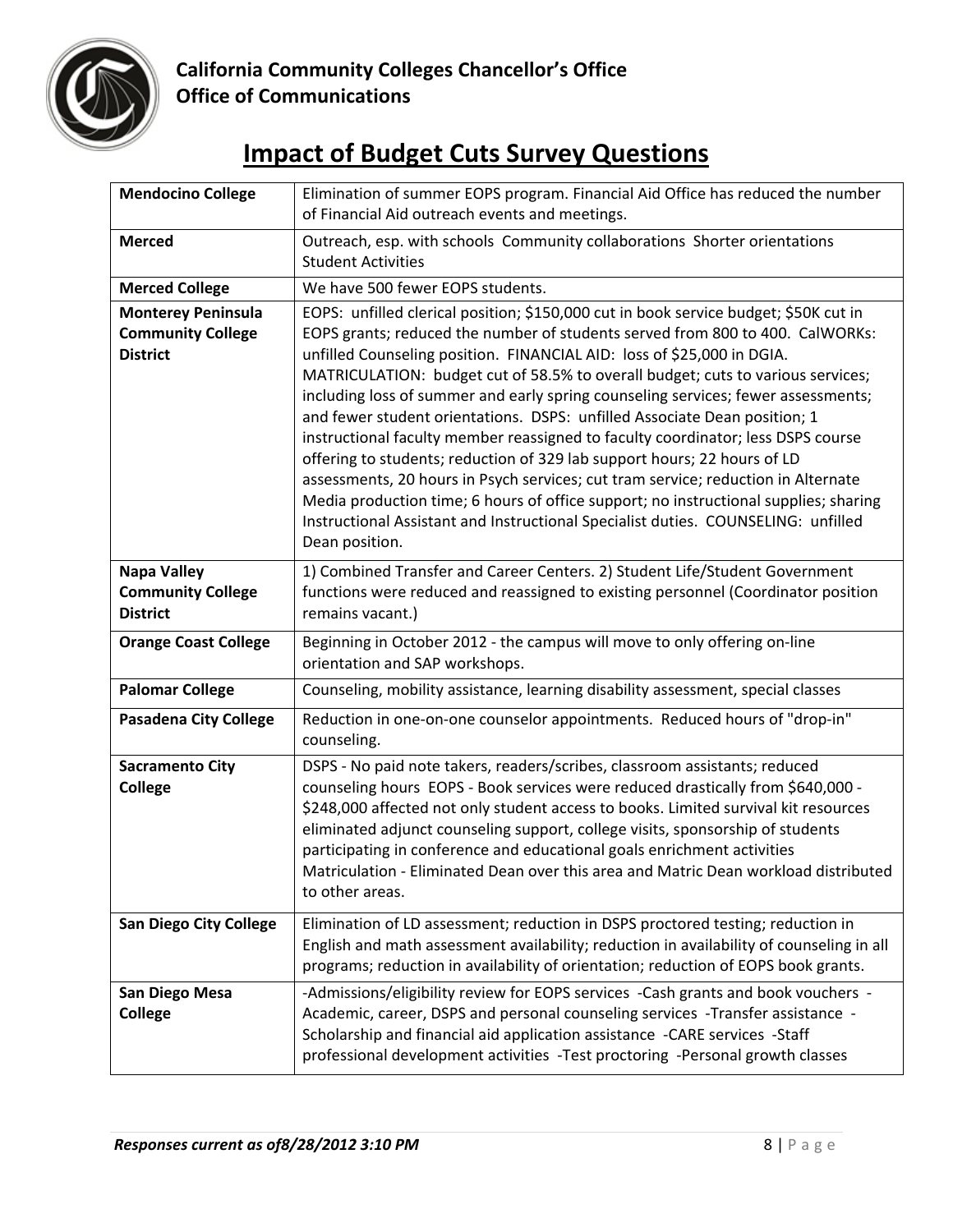

| <b>Mendocino College</b>                                                 | Elimination of summer EOPS program. Financial Aid Office has reduced the number<br>of Financial Aid outreach events and meetings.                                                                                                                                                                                                                                                                                                                                                                                                                                                                                                                                                                                                                                                                                                                                                                                                                        |
|--------------------------------------------------------------------------|----------------------------------------------------------------------------------------------------------------------------------------------------------------------------------------------------------------------------------------------------------------------------------------------------------------------------------------------------------------------------------------------------------------------------------------------------------------------------------------------------------------------------------------------------------------------------------------------------------------------------------------------------------------------------------------------------------------------------------------------------------------------------------------------------------------------------------------------------------------------------------------------------------------------------------------------------------|
| <b>Merced</b>                                                            | Outreach, esp. with schools Community collaborations Shorter orientations<br><b>Student Activities</b>                                                                                                                                                                                                                                                                                                                                                                                                                                                                                                                                                                                                                                                                                                                                                                                                                                                   |
| <b>Merced College</b>                                                    | We have 500 fewer EOPS students.                                                                                                                                                                                                                                                                                                                                                                                                                                                                                                                                                                                                                                                                                                                                                                                                                                                                                                                         |
| <b>Monterey Peninsula</b><br><b>Community College</b><br><b>District</b> | EOPS: unfilled clerical position; \$150,000 cut in book service budget; \$50K cut in<br>EOPS grants; reduced the number of students served from 800 to 400. CalWORKs:<br>unfilled Counseling position. FINANCIAL AID: loss of \$25,000 in DGIA.<br>MATRICULATION: budget cut of 58.5% to overall budget; cuts to various services;<br>including loss of summer and early spring counseling services; fewer assessments;<br>and fewer student orientations. DSPS: unfilled Associate Dean position; 1<br>instructional faculty member reassigned to faculty coordinator; less DSPS course<br>offering to students; reduction of 329 lab support hours; 22 hours of LD<br>assessments, 20 hours in Psych services; cut tram service; reduction in Alternate<br>Media production time; 6 hours of office support; no instructional supplies; sharing<br>Instructional Assistant and Instructional Specialist duties. COUNSELING: unfilled<br>Dean position. |
| <b>Napa Valley</b><br><b>Community College</b><br><b>District</b>        | 1) Combined Transfer and Career Centers. 2) Student Life/Student Government<br>functions were reduced and reassigned to existing personnel (Coordinator position<br>remains vacant.)                                                                                                                                                                                                                                                                                                                                                                                                                                                                                                                                                                                                                                                                                                                                                                     |
| <b>Orange Coast College</b>                                              | Beginning in October 2012 - the campus will move to only offering on-line<br>orientation and SAP workshops.                                                                                                                                                                                                                                                                                                                                                                                                                                                                                                                                                                                                                                                                                                                                                                                                                                              |
| <b>Palomar College</b>                                                   | Counseling, mobility assistance, learning disability assessment, special classes                                                                                                                                                                                                                                                                                                                                                                                                                                                                                                                                                                                                                                                                                                                                                                                                                                                                         |
| <b>Pasadena City College</b>                                             | Reduction in one-on-one counselor appointments. Reduced hours of "drop-in"<br>counseling.                                                                                                                                                                                                                                                                                                                                                                                                                                                                                                                                                                                                                                                                                                                                                                                                                                                                |
| <b>Sacramento City</b><br><b>College</b>                                 | DSPS - No paid note takers, readers/scribes, classroom assistants; reduced<br>counseling hours EOPS - Book services were reduced drastically from \$640,000 -<br>\$248,000 affected not only student access to books. Limited survival kit resources<br>eliminated adjunct counseling support, college visits, sponsorship of students<br>participating in conference and educational goals enrichment activities<br>Matriculation - Eliminated Dean over this area and Matric Dean workload distributed<br>to other areas.                                                                                                                                                                                                                                                                                                                                                                                                                              |
| <b>San Diego City College</b>                                            | Elimination of LD assessment; reduction in DSPS proctored testing; reduction in<br>English and math assessment availability; reduction in availability of counseling in all<br>programs; reduction in availability of orientation; reduction of EOPS book grants.                                                                                                                                                                                                                                                                                                                                                                                                                                                                                                                                                                                                                                                                                        |
| San Diego Mesa<br><b>College</b>                                         | -Admissions/eligibility review for EOPS services -Cash grants and book vouchers -<br>Academic, career, DSPS and personal counseling services -Transfer assistance -<br>Scholarship and financial aid application assistance -CARE services -Staff<br>professional development activities -Test proctoring -Personal growth classes                                                                                                                                                                                                                                                                                                                                                                                                                                                                                                                                                                                                                       |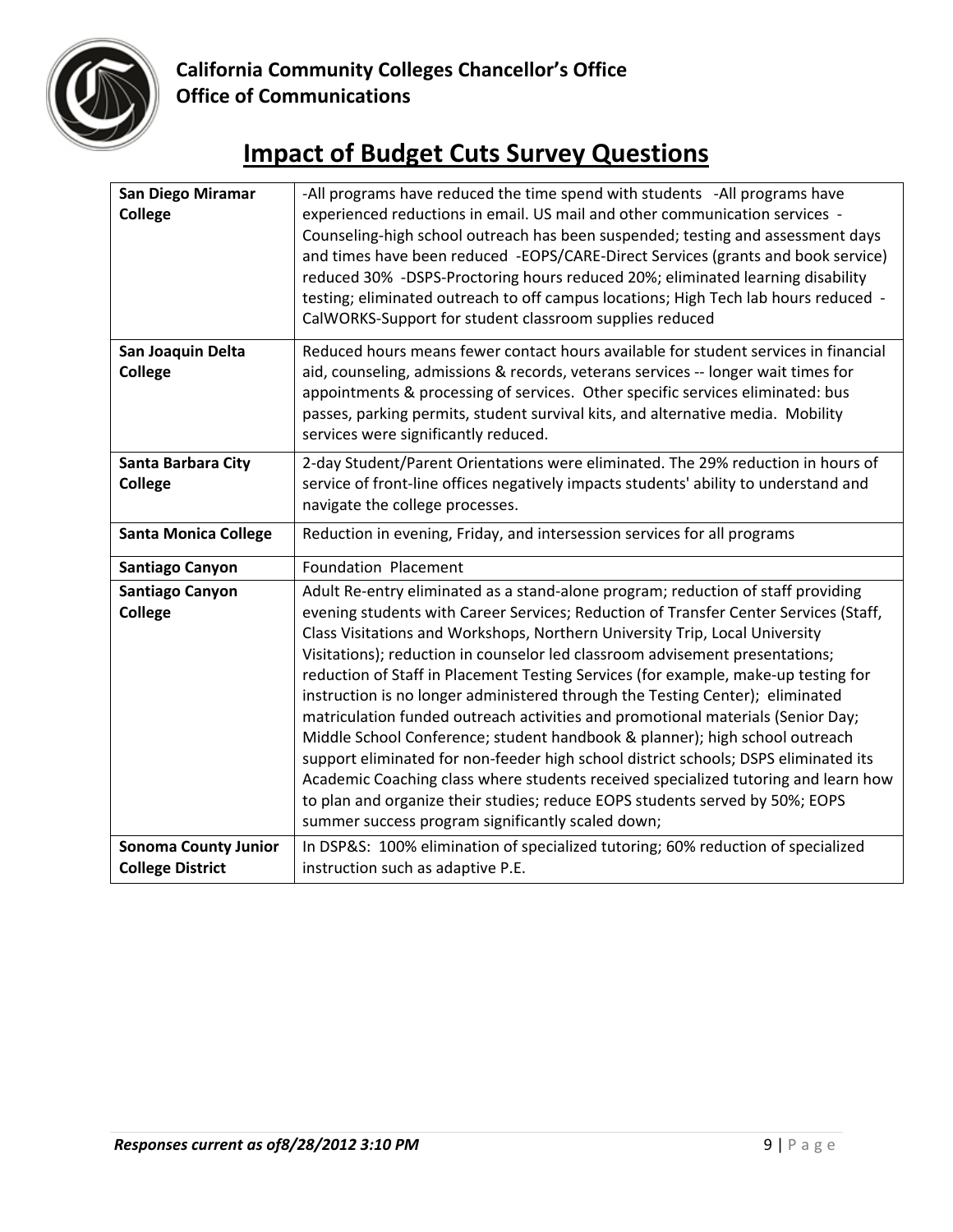

| <b>San Diego Miramar</b><br><b>College</b>             | -All programs have reduced the time spend with students -All programs have<br>experienced reductions in email. US mail and other communication services -<br>Counseling-high school outreach has been suspended; testing and assessment days<br>and times have been reduced -EOPS/CARE-Direct Services (grants and book service)<br>reduced 30% -DSPS-Proctoring hours reduced 20%; eliminated learning disability<br>testing; eliminated outreach to off campus locations; High Tech lab hours reduced -<br>CalWORKS-Support for student classroom supplies reduced                                                                                                                                                                                                                                                                                                                                                                                                                               |
|--------------------------------------------------------|----------------------------------------------------------------------------------------------------------------------------------------------------------------------------------------------------------------------------------------------------------------------------------------------------------------------------------------------------------------------------------------------------------------------------------------------------------------------------------------------------------------------------------------------------------------------------------------------------------------------------------------------------------------------------------------------------------------------------------------------------------------------------------------------------------------------------------------------------------------------------------------------------------------------------------------------------------------------------------------------------|
| San Joaquin Delta<br><b>College</b>                    | Reduced hours means fewer contact hours available for student services in financial<br>aid, counseling, admissions & records, veterans services -- longer wait times for<br>appointments & processing of services. Other specific services eliminated: bus<br>passes, parking permits, student survival kits, and alternative media. Mobility<br>services were significantly reduced.                                                                                                                                                                                                                                                                                                                                                                                                                                                                                                                                                                                                              |
| Santa Barbara City<br><b>College</b>                   | 2-day Student/Parent Orientations were eliminated. The 29% reduction in hours of<br>service of front-line offices negatively impacts students' ability to understand and<br>navigate the college processes.                                                                                                                                                                                                                                                                                                                                                                                                                                                                                                                                                                                                                                                                                                                                                                                        |
| <b>Santa Monica College</b>                            | Reduction in evening, Friday, and intersession services for all programs                                                                                                                                                                                                                                                                                                                                                                                                                                                                                                                                                                                                                                                                                                                                                                                                                                                                                                                           |
| <b>Santiago Canyon</b>                                 | <b>Foundation Placement</b>                                                                                                                                                                                                                                                                                                                                                                                                                                                                                                                                                                                                                                                                                                                                                                                                                                                                                                                                                                        |
| <b>Santiago Canyon</b><br>College                      | Adult Re-entry eliminated as a stand-alone program; reduction of staff providing<br>evening students with Career Services; Reduction of Transfer Center Services (Staff,<br>Class Visitations and Workshops, Northern University Trip, Local University<br>Visitations); reduction in counselor led classroom advisement presentations;<br>reduction of Staff in Placement Testing Services (for example, make-up testing for<br>instruction is no longer administered through the Testing Center); eliminated<br>matriculation funded outreach activities and promotional materials (Senior Day;<br>Middle School Conference; student handbook & planner); high school outreach<br>support eliminated for non-feeder high school district schools; DSPS eliminated its<br>Academic Coaching class where students received specialized tutoring and learn how<br>to plan and organize their studies; reduce EOPS students served by 50%; EOPS<br>summer success program significantly scaled down; |
| <b>Sonoma County Junior</b><br><b>College District</b> | In DSP&S: 100% elimination of specialized tutoring; 60% reduction of specialized<br>instruction such as adaptive P.E.                                                                                                                                                                                                                                                                                                                                                                                                                                                                                                                                                                                                                                                                                                                                                                                                                                                                              |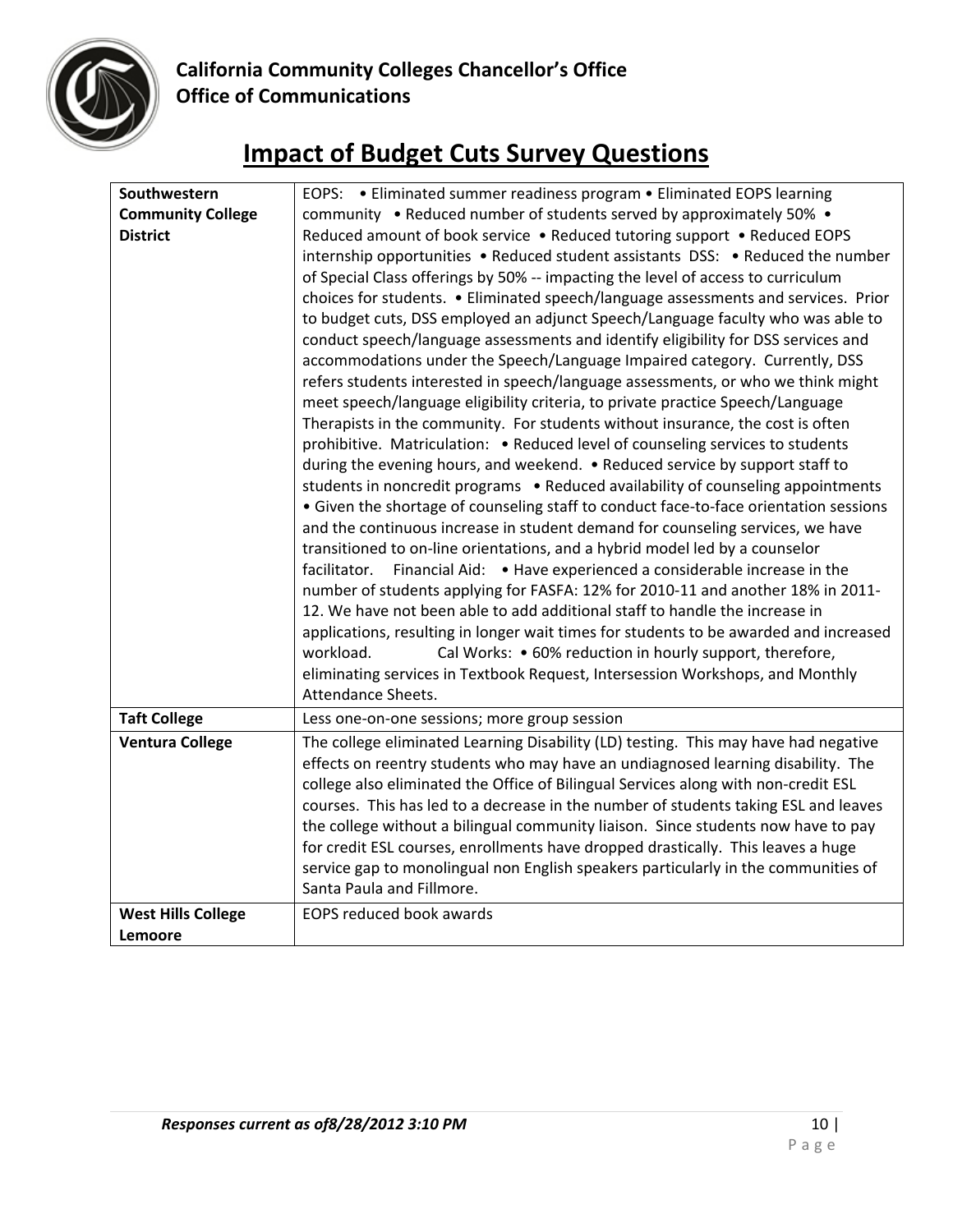

| Southwestern              | EOPS: . Eliminated summer readiness program . Eliminated EOPS learning                                                                                                                                                                                                                                                                                                                                                                                                                                                                                                                                                                                                                                                                                                                                                                                                                                                                                                                                                                                                                                                                                                                                                                                                                                                                                                                                                                                                                                                                                                                                                                                                                                                                                                                                                                                                                             |
|---------------------------|----------------------------------------------------------------------------------------------------------------------------------------------------------------------------------------------------------------------------------------------------------------------------------------------------------------------------------------------------------------------------------------------------------------------------------------------------------------------------------------------------------------------------------------------------------------------------------------------------------------------------------------------------------------------------------------------------------------------------------------------------------------------------------------------------------------------------------------------------------------------------------------------------------------------------------------------------------------------------------------------------------------------------------------------------------------------------------------------------------------------------------------------------------------------------------------------------------------------------------------------------------------------------------------------------------------------------------------------------------------------------------------------------------------------------------------------------------------------------------------------------------------------------------------------------------------------------------------------------------------------------------------------------------------------------------------------------------------------------------------------------------------------------------------------------------------------------------------------------------------------------------------------------|
| <b>Community College</b>  | community • Reduced number of students served by approximately 50% •                                                                                                                                                                                                                                                                                                                                                                                                                                                                                                                                                                                                                                                                                                                                                                                                                                                                                                                                                                                                                                                                                                                                                                                                                                                                                                                                                                                                                                                                                                                                                                                                                                                                                                                                                                                                                               |
| <b>District</b>           | Reduced amount of book service . Reduced tutoring support . Reduced EOPS<br>internship opportunities • Reduced student assistants DSS: • Reduced the number<br>of Special Class offerings by 50% -- impacting the level of access to curriculum<br>choices for students. • Eliminated speech/language assessments and services. Prior<br>to budget cuts, DSS employed an adjunct Speech/Language faculty who was able to<br>conduct speech/language assessments and identify eligibility for DSS services and<br>accommodations under the Speech/Language Impaired category. Currently, DSS<br>refers students interested in speech/language assessments, or who we think might<br>meet speech/language eligibility criteria, to private practice Speech/Language<br>Therapists in the community. For students without insurance, the cost is often<br>prohibitive. Matriculation: • Reduced level of counseling services to students<br>during the evening hours, and weekend. . Reduced service by support staff to<br>students in noncredit programs . Reduced availability of counseling appointments<br>• Given the shortage of counseling staff to conduct face-to-face orientation sessions<br>and the continuous increase in student demand for counseling services, we have<br>transitioned to on-line orientations, and a hybrid model led by a counselor<br>Financial Aid: • Have experienced a considerable increase in the<br>facilitator.<br>number of students applying for FASFA: 12% for 2010-11 and another 18% in 2011-<br>12. We have not been able to add additional staff to handle the increase in<br>applications, resulting in longer wait times for students to be awarded and increased<br>workload.<br>Cal Works: • 60% reduction in hourly support, therefore,<br>eliminating services in Textbook Request, Intersession Workshops, and Monthly<br>Attendance Sheets. |
| <b>Taft College</b>       | Less one-on-one sessions; more group session                                                                                                                                                                                                                                                                                                                                                                                                                                                                                                                                                                                                                                                                                                                                                                                                                                                                                                                                                                                                                                                                                                                                                                                                                                                                                                                                                                                                                                                                                                                                                                                                                                                                                                                                                                                                                                                       |
| <b>Ventura College</b>    | The college eliminated Learning Disability (LD) testing. This may have had negative<br>effects on reentry students who may have an undiagnosed learning disability. The<br>college also eliminated the Office of Bilingual Services along with non-credit ESL<br>courses. This has led to a decrease in the number of students taking ESL and leaves<br>the college without a bilingual community liaison. Since students now have to pay<br>for credit ESL courses, enrollments have dropped drastically. This leaves a huge<br>service gap to monolingual non English speakers particularly in the communities of<br>Santa Paula and Fillmore.                                                                                                                                                                                                                                                                                                                                                                                                                                                                                                                                                                                                                                                                                                                                                                                                                                                                                                                                                                                                                                                                                                                                                                                                                                                   |
| <b>West Hills College</b> | <b>EOPS reduced book awards</b>                                                                                                                                                                                                                                                                                                                                                                                                                                                                                                                                                                                                                                                                                                                                                                                                                                                                                                                                                                                                                                                                                                                                                                                                                                                                                                                                                                                                                                                                                                                                                                                                                                                                                                                                                                                                                                                                    |
| Lemoore                   |                                                                                                                                                                                                                                                                                                                                                                                                                                                                                                                                                                                                                                                                                                                                                                                                                                                                                                                                                                                                                                                                                                                                                                                                                                                                                                                                                                                                                                                                                                                                                                                                                                                                                                                                                                                                                                                                                                    |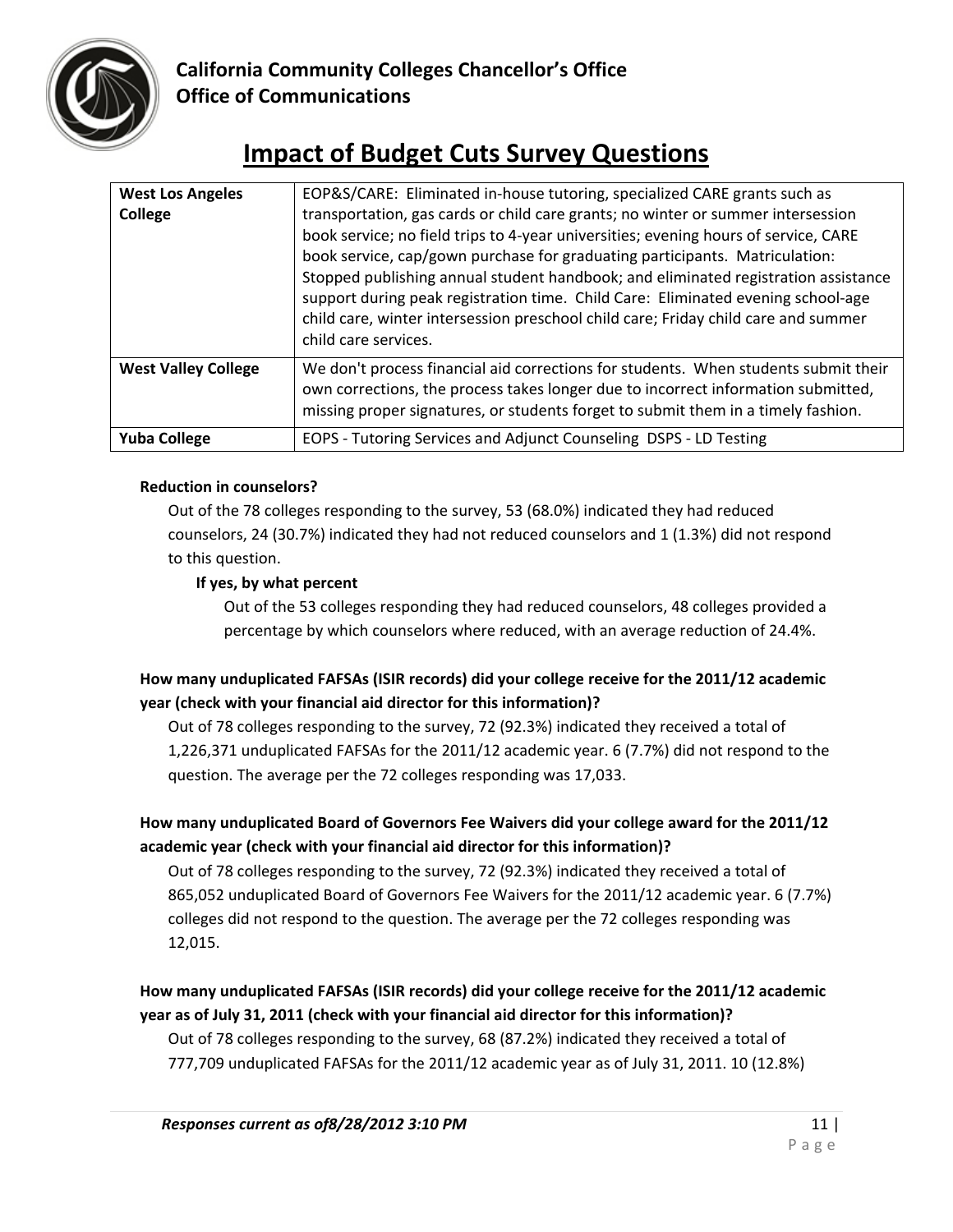

# **Impact of Budget Cuts Survey Questions**

| <b>West Los Angeles</b><br>College | EOP&S/CARE: Eliminated in-house tutoring, specialized CARE grants such as<br>transportation, gas cards or child care grants; no winter or summer intersession<br>book service; no field trips to 4-year universities; evening hours of service, CARE<br>book service, cap/gown purchase for graduating participants. Matriculation:<br>Stopped publishing annual student handbook; and eliminated registration assistance<br>support during peak registration time. Child Care: Eliminated evening school-age<br>child care, winter intersession preschool child care; Friday child care and summer<br>child care services. |
|------------------------------------|-----------------------------------------------------------------------------------------------------------------------------------------------------------------------------------------------------------------------------------------------------------------------------------------------------------------------------------------------------------------------------------------------------------------------------------------------------------------------------------------------------------------------------------------------------------------------------------------------------------------------------|
| <b>West Valley College</b>         | We don't process financial aid corrections for students. When students submit their<br>own corrections, the process takes longer due to incorrect information submitted,<br>missing proper signatures, or students forget to submit them in a timely fashion.                                                                                                                                                                                                                                                                                                                                                               |
| <b>Yuba College</b>                | EOPS - Tutoring Services and Adjunct Counseling DSPS - LD Testing                                                                                                                                                                                                                                                                                                                                                                                                                                                                                                                                                           |

## **Reduction in counselors?**

Out of the 78 colleges responding to the survey, 53 (68.0%) indicated they had reduced counselors, 24 (30.7%) indicated they had not reduced counselors and 1 (1.3%) did not respond to this question.

## **If yes, by what percent**

Out of the 53 colleges responding they had reduced counselors, 48 colleges provided a percentage by which counselors where reduced, with an average reduction of 24.4%.

## **How many unduplicated FAFSAs (ISIR records) did your college receive for the 2011/12 academic year (check with your financial aid director for this information)?**

Out of 78 colleges responding to the survey, 72 (92.3%) indicated they received a total of 1,226,371 unduplicated FAFSAs for the 2011/12 academic year. 6 (7.7%) did not respond to the question. The average per the 72 colleges responding was 17,033.

# **How many unduplicated Board of Governors Fee Waivers did your college award for the 2011/12 academic year (check with your financial aid director for this information)?**

Out of 78 colleges responding to the survey, 72 (92.3%) indicated they received a total of 865,052 unduplicated Board of Governors Fee Waivers for the 2011/12 academic year. 6 (7.7%) colleges did not respond to the question. The average per the 72 colleges responding was 12,015.

# **How many unduplicated FAFSAs (ISIR records) did your college receive for the 2011/12 academic year as of July 31, 2011 (check with your financial aid director for this information)?**

Out of 78 colleges responding to the survey, 68 (87.2%) indicated they received a total of 777,709 unduplicated FAFSAs for the 2011/12 academic year as of July 31, 2011. 10 (12.8%)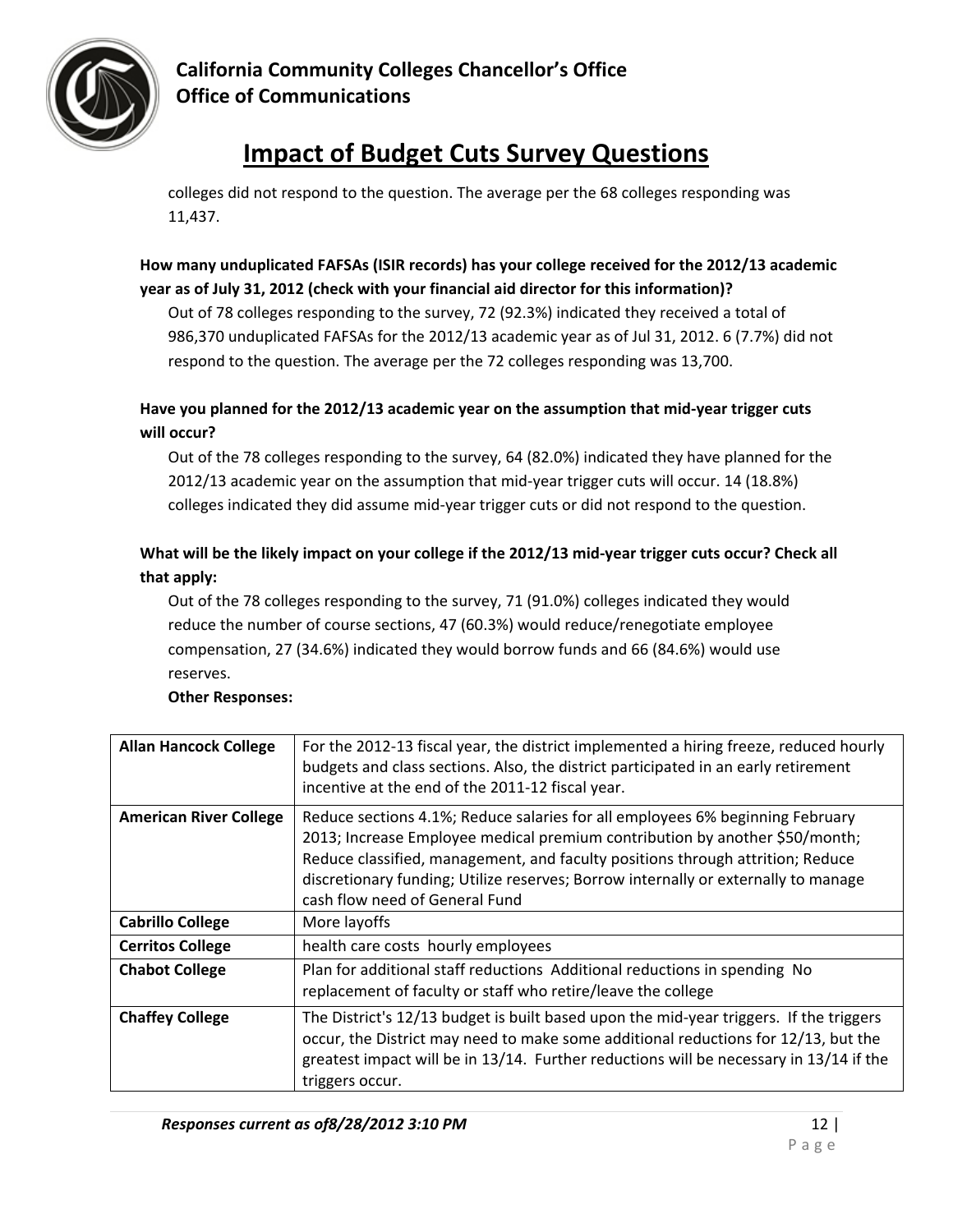

# **Impact of Budget Cuts Survey Questions**

colleges did not respond to the question. The average per the 68 colleges responding was 11,437.

# **How many unduplicated FAFSAs (ISIR records) has your college received for the 2012/13 academic year as of July 31, 2012 (check with your financial aid director for this information)?**

Out of 78 colleges responding to the survey, 72 (92.3%) indicated they received a total of 986,370 unduplicated FAFSAs for the 2012/13 academic year as of Jul 31, 2012. 6 (7.7%) did not respond to the question. The average per the 72 colleges responding was 13,700.

# **Have you planned for the 2012/13 academic year on the assumption that mid‐year trigger cuts will occur?**

Out of the 78 colleges responding to the survey, 64 (82.0%) indicated they have planned for the 2012/13 academic year on the assumption that mid-year trigger cuts will occur. 14 (18.8%) colleges indicated they did assume mid‐year trigger cuts or did not respond to the question.

# What will be the likely impact on your college if the 2012/13 mid-year trigger cuts occur? Check all **that apply:**

Out of the 78 colleges responding to the survey, 71 (91.0%) colleges indicated they would reduce the number of course sections, 47 (60.3%) would reduce/renegotiate employee compensation, 27 (34.6%) indicated they would borrow funds and 66 (84.6%) would use reserves.

| <b>Allan Hancock College</b>  | For the 2012-13 fiscal year, the district implemented a hiring freeze, reduced hourly<br>budgets and class sections. Also, the district participated in an early retirement<br>incentive at the end of the 2011-12 fiscal year.                                                                                                                                        |
|-------------------------------|------------------------------------------------------------------------------------------------------------------------------------------------------------------------------------------------------------------------------------------------------------------------------------------------------------------------------------------------------------------------|
| <b>American River College</b> | Reduce sections 4.1%; Reduce salaries for all employees 6% beginning February<br>2013; Increase Employee medical premium contribution by another \$50/month;<br>Reduce classified, management, and faculty positions through attrition; Reduce<br>discretionary funding; Utilize reserves; Borrow internally or externally to manage<br>cash flow need of General Fund |
| <b>Cabrillo College</b>       | More layoffs                                                                                                                                                                                                                                                                                                                                                           |
| <b>Cerritos College</b>       | health care costs hourly employees                                                                                                                                                                                                                                                                                                                                     |
| <b>Chabot College</b>         | Plan for additional staff reductions Additional reductions in spending No<br>replacement of faculty or staff who retire/leave the college                                                                                                                                                                                                                              |
| <b>Chaffey College</b>        | The District's 12/13 budget is built based upon the mid-year triggers. If the triggers<br>occur, the District may need to make some additional reductions for 12/13, but the<br>greatest impact will be in 13/14. Further reductions will be necessary in 13/14 if the<br>triggers occur.                                                                              |

# **Other Responses:**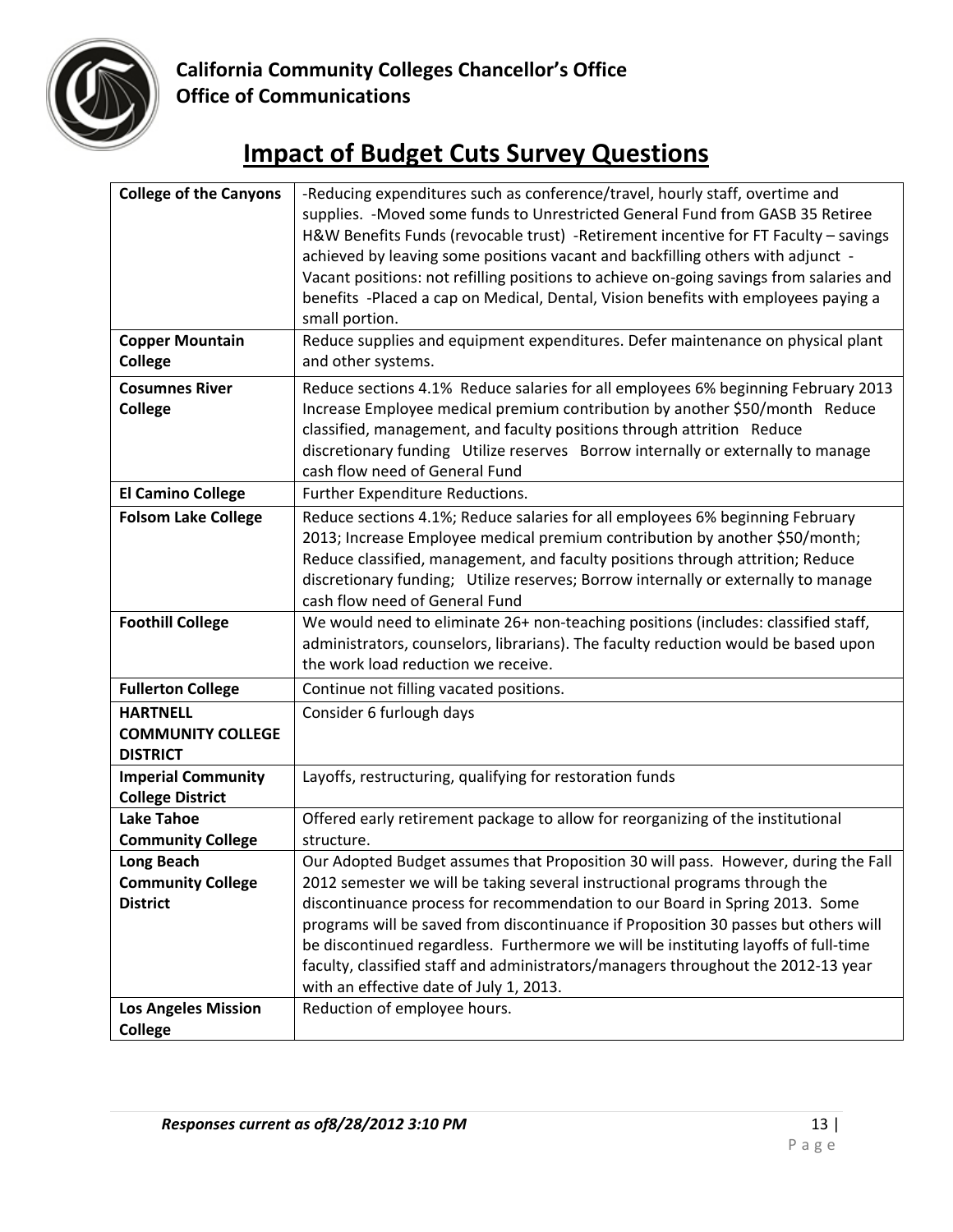

| <b>College of the Canyons</b> | -Reducing expenditures such as conference/travel, hourly staff, overtime and            |
|-------------------------------|-----------------------------------------------------------------------------------------|
|                               | supplies. - Moved some funds to Unrestricted General Fund from GASB 35 Retiree          |
|                               | H&W Benefits Funds (revocable trust) -Retirement incentive for FT Faculty - savings     |
|                               | achieved by leaving some positions vacant and backfilling others with adjunct -         |
|                               | Vacant positions: not refilling positions to achieve on-going savings from salaries and |
|                               | benefits -Placed a cap on Medical, Dental, Vision benefits with employees paying a      |
|                               | small portion.                                                                          |
| <b>Copper Mountain</b>        | Reduce supplies and equipment expenditures. Defer maintenance on physical plant         |
| <b>College</b>                | and other systems.                                                                      |
|                               |                                                                                         |
| <b>Cosumnes River</b>         | Reduce sections 4.1% Reduce salaries for all employees 6% beginning February 2013       |
| <b>College</b>                | Increase Employee medical premium contribution by another \$50/month Reduce             |
|                               | classified, management, and faculty positions through attrition Reduce                  |
|                               | discretionary funding Utilize reserves Borrow internally or externally to manage        |
|                               | cash flow need of General Fund                                                          |
| <b>El Camino College</b>      | Further Expenditure Reductions.                                                         |
| <b>Folsom Lake College</b>    | Reduce sections 4.1%; Reduce salaries for all employees 6% beginning February           |
|                               | 2013; Increase Employee medical premium contribution by another \$50/month;             |
|                               | Reduce classified, management, and faculty positions through attrition; Reduce          |
|                               | discretionary funding; Utilize reserves; Borrow internally or externally to manage      |
|                               | cash flow need of General Fund                                                          |
| <b>Foothill College</b>       | We would need to eliminate 26+ non-teaching positions (includes: classified staff,      |
|                               | administrators, counselors, librarians). The faculty reduction would be based upon      |
|                               | the work load reduction we receive.                                                     |
| <b>Fullerton College</b>      | Continue not filling vacated positions.                                                 |
| <b>HARTNELL</b>               |                                                                                         |
|                               | Consider 6 furlough days                                                                |
| <b>COMMUNITY COLLEGE</b>      |                                                                                         |
| <b>DISTRICT</b>               |                                                                                         |
| <b>Imperial Community</b>     | Layoffs, restructuring, qualifying for restoration funds                                |
| <b>College District</b>       |                                                                                         |
| <b>Lake Tahoe</b>             | Offered early retirement package to allow for reorganizing of the institutional         |
| <b>Community College</b>      | structure.                                                                              |
| Long Beach                    | Our Adopted Budget assumes that Proposition 30 will pass. However, during the Fall      |
| <b>Community College</b>      | 2012 semester we will be taking several instructional programs through the              |
| <b>District</b>               | discontinuance process for recommendation to our Board in Spring 2013. Some             |
|                               | programs will be saved from discontinuance if Proposition 30 passes but others will     |
|                               | be discontinued regardless. Furthermore we will be instituting layoffs of full-time     |
|                               | faculty, classified staff and administrators/managers throughout the 2012-13 year       |
|                               |                                                                                         |
|                               | with an effective date of July 1, 2013.                                                 |
| <b>Los Angeles Mission</b>    | Reduction of employee hours.                                                            |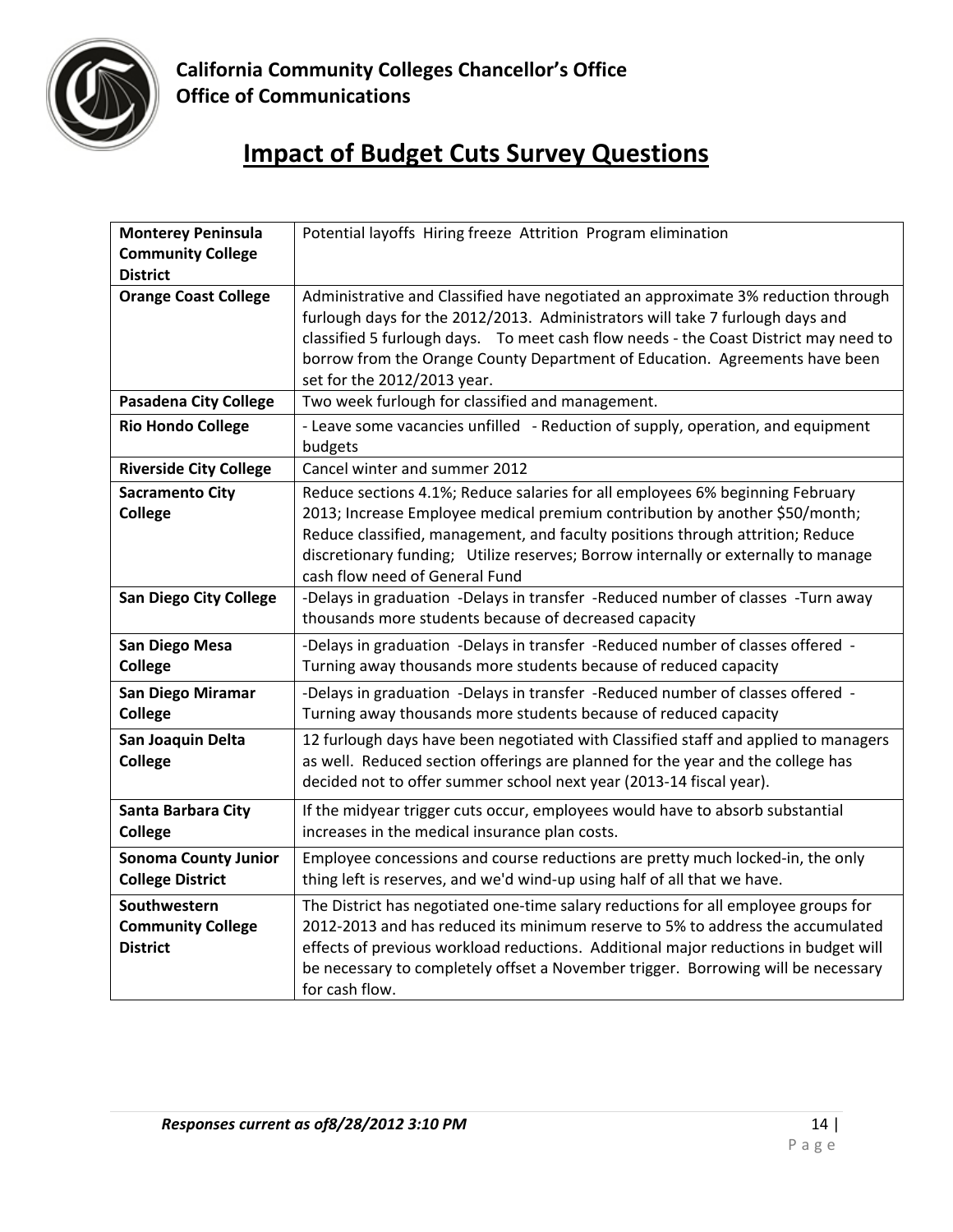

| <b>Monterey Peninsula</b>     | Potential layoffs Hiring freeze Attrition Program elimination                         |
|-------------------------------|---------------------------------------------------------------------------------------|
| <b>Community College</b>      |                                                                                       |
| <b>District</b>               |                                                                                       |
| <b>Orange Coast College</b>   | Administrative and Classified have negotiated an approximate 3% reduction through     |
|                               | furlough days for the 2012/2013. Administrators will take 7 furlough days and         |
|                               | classified 5 furlough days.  To meet cash flow needs - the Coast District may need to |
|                               | borrow from the Orange County Department of Education. Agreements have been           |
|                               | set for the 2012/2013 year.                                                           |
| <b>Pasadena City College</b>  | Two week furlough for classified and management.                                      |
| <b>Rio Hondo College</b>      | - Leave some vacancies unfilled - Reduction of supply, operation, and equipment       |
|                               | budgets                                                                               |
| <b>Riverside City College</b> | Cancel winter and summer 2012                                                         |
| <b>Sacramento City</b>        | Reduce sections 4.1%; Reduce salaries for all employees 6% beginning February         |
| <b>College</b>                | 2013; Increase Employee medical premium contribution by another \$50/month;           |
|                               | Reduce classified, management, and faculty positions through attrition; Reduce        |
|                               | discretionary funding; Utilize reserves; Borrow internally or externally to manage    |
|                               | cash flow need of General Fund                                                        |
| <b>San Diego City College</b> | -Delays in graduation -Delays in transfer -Reduced number of classes -Turn away       |
|                               | thousands more students because of decreased capacity                                 |
| <b>San Diego Mesa</b>         | -Delays in graduation -Delays in transfer -Reduced number of classes offered -        |
| <b>College</b>                | Turning away thousands more students because of reduced capacity                      |
| San Diego Miramar             | -Delays in graduation -Delays in transfer -Reduced number of classes offered -        |
| <b>College</b>                | Turning away thousands more students because of reduced capacity                      |
| San Joaquin Delta             | 12 furlough days have been negotiated with Classified staff and applied to managers   |
| <b>College</b>                | as well. Reduced section offerings are planned for the year and the college has       |
|                               | decided not to offer summer school next year (2013-14 fiscal year).                   |
| Santa Barbara City            | If the midyear trigger cuts occur, employees would have to absorb substantial         |
| <b>College</b>                | increases in the medical insurance plan costs.                                        |
| <b>Sonoma County Junior</b>   | Employee concessions and course reductions are pretty much locked-in, the only        |
| <b>College District</b>       | thing left is reserves, and we'd wind-up using half of all that we have.              |
| Southwestern                  | The District has negotiated one-time salary reductions for all employee groups for    |
| <b>Community College</b>      | 2012-2013 and has reduced its minimum reserve to 5% to address the accumulated        |
| <b>District</b>               | effects of previous workload reductions. Additional major reductions in budget will   |
|                               | be necessary to completely offset a November trigger. Borrowing will be necessary     |
|                               | for cash flow.                                                                        |